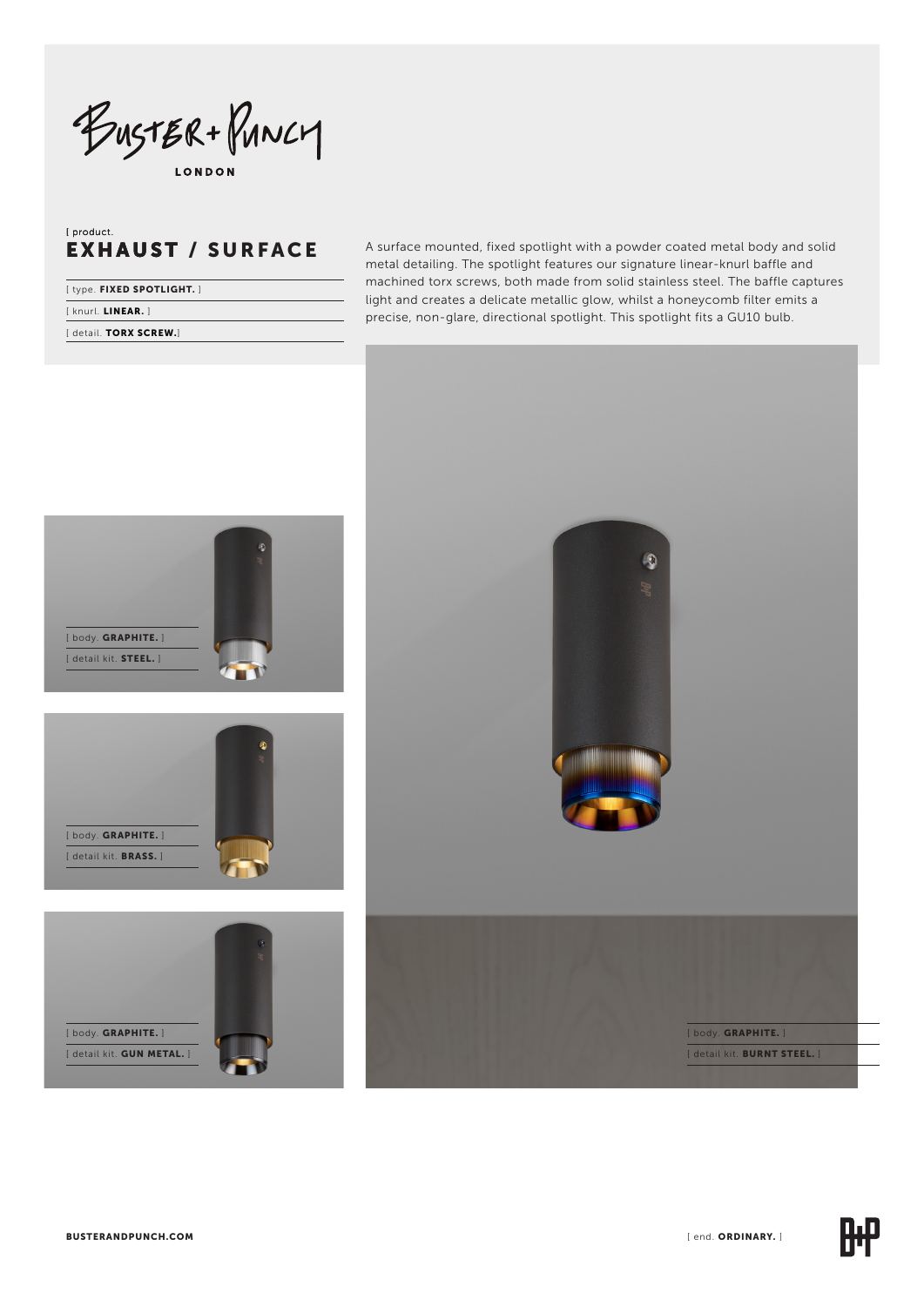BUSTER + PUNCY

# [ product. EXHAUST / SURFACE

| [type. FIXED SPOTLIGHT.] |  |
|--------------------------|--|
| [knurl. LINEAR.]         |  |
| [detail. TORX SCREW.]    |  |

A surface mounted, fixed spotlight with a powder coated metal body and solid metal detailing. The spotlight features our signature linear-knurl baffle and machined torx screws, both made from solid stainless steel. The baffle captures light and creates a delicate metallic glow, whilst a honeycomb filter emits a precise, non-glare, directional spotlight. This spotlight fits a GU10 bulb.

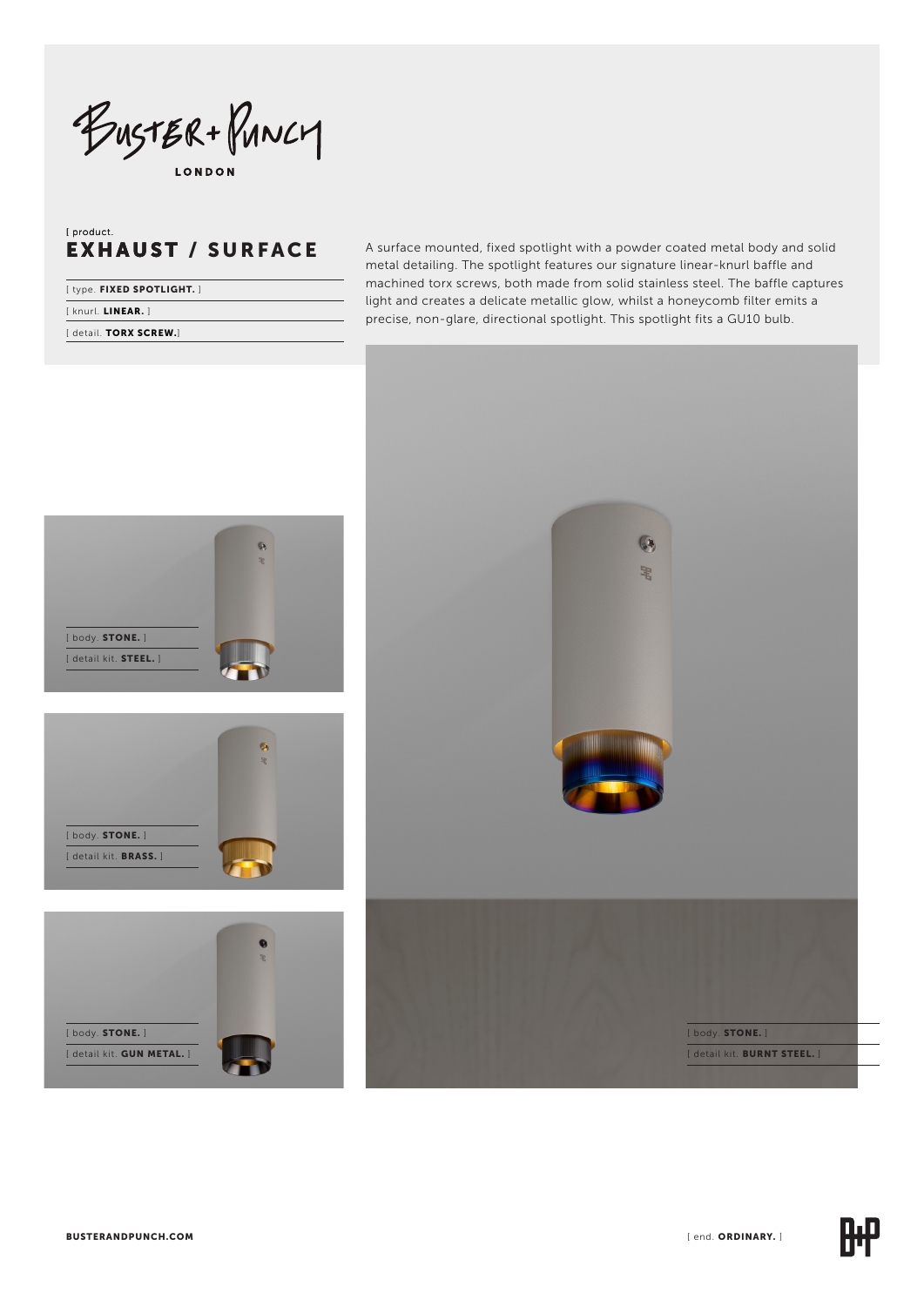BUSTER+PUNCY **LONDON** 

# [ product. EXHAUST EXHAUST / SURFACE

| [type. FIXED SPOTLIGHT.] |  |
|--------------------------|--|
| [knurl. LINEAR.]         |  |

[ detail. TORX SCREW.]

A surface mounted, fixed spotlight with a powder coated metal body and solid metal detailing. The spotlight features our signature linear-knurl baffle and machined torx screws, both made from solid stainless steel. The baffle captures light and creates a delicate metallic glow, whilst a honeycomb filter emits a precise, non-glare, directional spotlight. This spotlight fits a GU10 bulb.